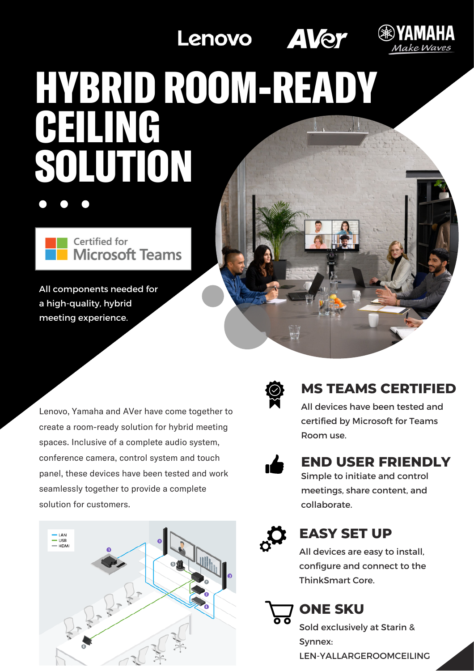Lenovo **AVer** 



# HYBRID ROOM-READY **TIMG** SOLUTION

Certified for Microsoft Teams

All components needed for a high-quality, hybrid meeting experience.

Lenovo, Yamaha and AVer have come together to create a room-ready solution for hybrid meeting spaces. Inclusive of a complete audio system, conference camera, control system and touch panel, these devices have been tested and work seamlessly together to provide a complete solution for customers.





## **MS TEAMS CERTIFIED**

All devices have been tested and certified by Microsoft for Teams Room use.



## **END USER FRIENDLY**

Simple to initiate and control meetings, share content, and collaborate.



# **EASY SET UP**

All devices are easy to install, configure and connect to the ThinkSmart Core.

# **ONE SKU**

Sold exclusively at Starin & Synnex: LEN-YALLARGEROOMCEILING